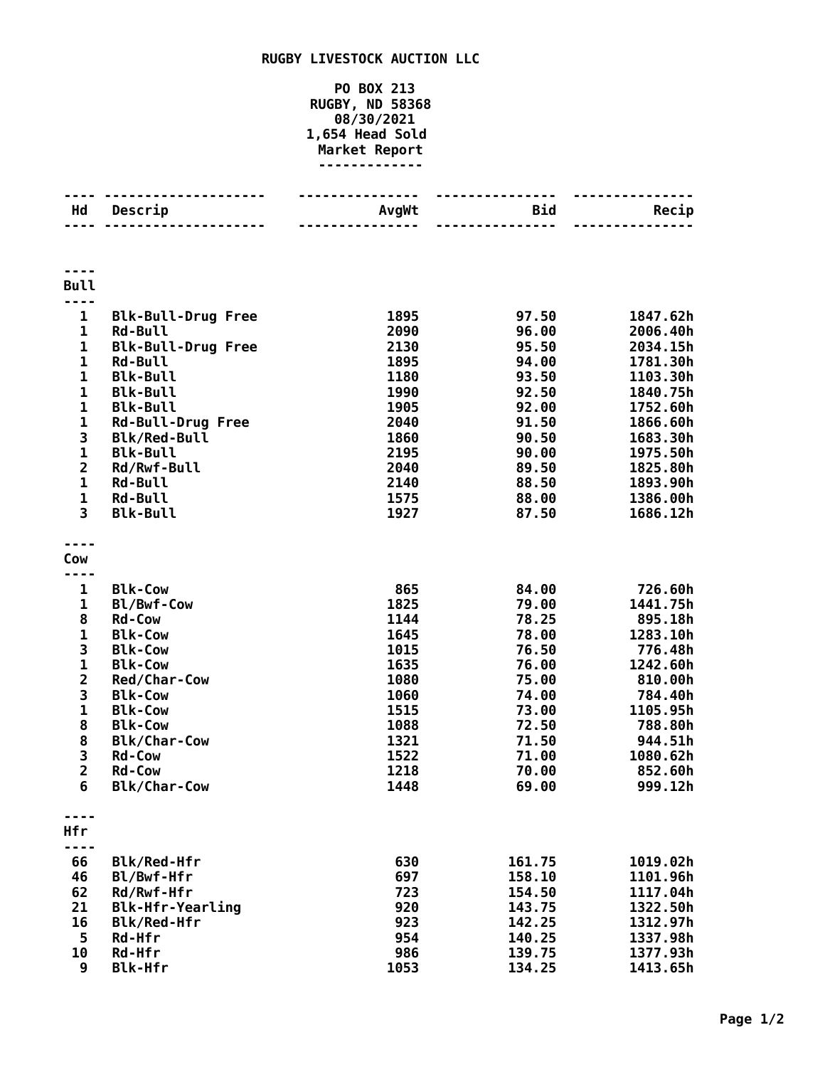## **RUGBY LIVESTOCK AUCTION LLC**

## **PO BOX 213 RUGBY, ND 58368 08/30/2021 1,654 Head Sold Market Report -------------**

| Hd                      | Descrip                   | AvgWt | <b>Bid</b> | Recip    |
|-------------------------|---------------------------|-------|------------|----------|
|                         |                           |       | $- - -$    |          |
|                         |                           |       |            |          |
| <b>Bull</b>             |                           |       |            |          |
|                         |                           |       |            |          |
| $\mathbf{1}$            | <b>Blk-Bull-Drug Free</b> | 1895  | 97.50      | 1847.62h |
| 1                       | <b>Rd-Bull</b>            | 2090  | 96.00      | 2006.40h |
| 1                       | <b>Blk-Bull-Drug Free</b> | 2130  | 95.50      | 2034.15h |
| 1                       | <b>Rd-Bull</b>            | 1895  | 94.00      | 1781.30h |
| $\mathbf 1$             | <b>Blk-Bull</b>           | 1180  | 93.50      | 1103.30h |
| 1                       | <b>Blk-Bull</b>           | 1990  | 92.50      | 1840.75h |
| $\mathbf 1$             | <b>Blk-Bull</b>           | 1905  | 92.00      | 1752.60h |
| 1                       | <b>Rd-Bull-Drug Free</b>  | 2040  | 91.50      | 1866.60h |
| 3                       | <b>Blk/Red-Bull</b>       | 1860  | 90.50      | 1683.30h |
| 1                       | <b>Blk-Bull</b>           | 2195  | 90.00      | 1975.50h |
| $\overline{\mathbf{c}}$ | Rd/Rwf-Bull               | 2040  | 89.50      | 1825.80h |
| 1                       | <b>Rd-Bull</b>            | 2140  | 88.50      | 1893.90h |
| $\mathbf 1$             | <b>Rd-Bull</b>            | 1575  | 88.00      | 1386.00h |
| 3                       | <b>Blk-Bull</b>           | 1927  | 87.50      | 1686.12h |
|                         |                           |       |            |          |
| Cow                     |                           |       |            |          |
| 1                       | <b>Blk-Cow</b>            | 865   | 84.00      | 726.60h  |
| 1                       | Bl/Bwf-Cow                | 1825  | 79.00      | 1441.75h |
| 8                       | <b>Rd-Cow</b>             | 1144  | 78.25      | 895.18h  |
| 1                       | <b>Blk-Cow</b>            | 1645  | 78.00      | 1283.10h |
| 3                       | <b>Blk-Cow</b>            | 1015  | 76.50      | 776.48h  |
| $\mathbf 1$             | <b>Blk-Cow</b>            | 1635  | 76.00      | 1242.60h |
| $\overline{\mathbf{c}}$ | Red/Char-Cow              | 1080  | 75.00      | 810.00h  |
| 3                       | <b>Blk-Cow</b>            | 1060  | 74.00      | 784.40h  |
| $\mathbf 1$             | <b>Blk-Cow</b>            | 1515  | 73.00      | 1105.95h |
| 8                       | <b>Blk-Cow</b>            | 1088  | 72.50      | 788.80h  |
| 8                       | <b>Blk/Char-Cow</b>       | 1321  | 71.50      | 944.51h  |
| $\frac{3}{2}$           | <b>Rd-Cow</b>             | 1522  | 71.00      | 1080.62h |
|                         | Rd-Cow                    | 1218  | 70.00      | 852.60h  |
| 6                       | <b>Blk/Char-Cow</b>       | 1448  | 69.00      | 999.12h  |
|                         |                           |       |            |          |
| Hfr<br>----             |                           |       |            |          |
| 66                      | Blk/Red-Hfr               | 630   | 161.75     | 1019.02h |
| 46                      | Bl/Bwf-Hfr                | 697   | 158.10     | 1101.96h |
| 62                      | Rd/Rwf-Hfr                | 723   | 154.50     | 1117.04h |
| 21                      | <b>Blk-Hfr-Yearling</b>   | 920   | 143.75     | 1322.50h |
| 16                      | Blk/Red-Hfr               | 923   | 142.25     | 1312.97h |
| 5                       | Rd-Hfr                    | 954   | 140.25     | 1337.98h |
| 10                      | Rd-Hfr                    | 986   | 139.75     | 1377.93h |
| 9                       | <b>Blk-Hfr</b>            | 1053  | 134.25     | 1413.65h |